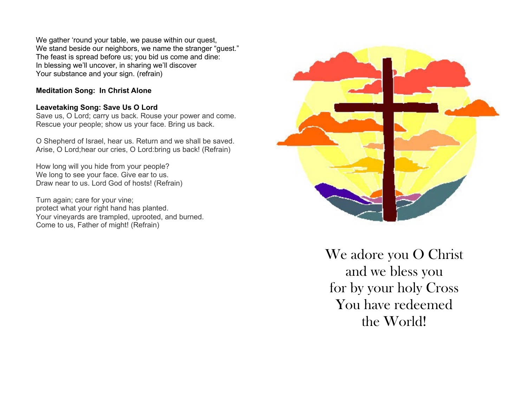We gather 'round your table, we pause within our quest, We stand beside our neighbors, we name the stranger "guest." The feast is spread before us; you bid us come and dine: In blessing we'll uncover, in sharing we'll discover Your substance and your sign. (refrain)

### **Meditation Song: In Christ Alone**

### **Leavetaking Song: Save Us O Lord**

Save us, O Lord; carry us back. Rouse your power and come. Rescue your people; show us your face. Bring us back.

O Shepherd of Israel, hear us. Return and we shall be saved. Arise, O Lord;hear our cries, O Lord:bring us back! (Refrain)

How long will you hide from your people? We long to see your face. Give ear to us. Draw near to us. Lord God of hosts! (Refrain)

Turn again; care for your vine; protect what your right hand has planted. Your vineyards are trampled, uprooted, and burned. Come to us, Father of might! (Refrain)



We adore you O Christ and we bless you for by your holy Cross You have redeemed the World!